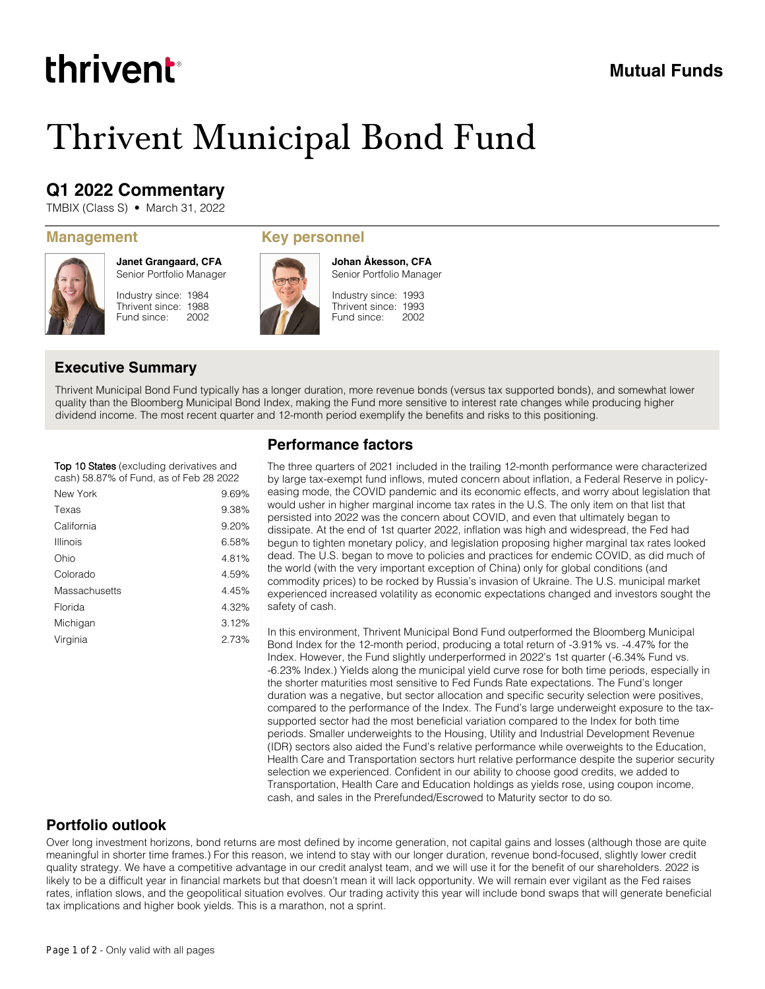# thrivent

## **Mutual Funds**

# Thrivent Municipal Bond Fund

# **Q1 2022 Commentary**

TMBIX (Class S) • March 31, 2022



**Janet Grangaard, CFA** Senior Portfolio Manager

Industry since: 1984 Thrivent since: 1988 Fund since: 2002

#### **Management Key personnel**



Industry since: 1993 Thrivent since: 1993 Senior Portfolio Manager

**Johan Åkesson, CFA**

2002

Fund since:

### **Executive Summary**

Thrivent Municipal Bond Fund typically has a longer duration, more revenue bonds (versus tax supported bonds), and somewhat lower quality than the Bloomberg Municipal Bond Index, making the Fund more sensitive to interest rate changes while producing higher dividend income. The most recent quarter and 12-month period exemplify the benefits and risks to this positioning.

#### **Top 10** States (excluding derivatives and cash) 58.87% of Fund, as of Feb 28 2022

| New York      | 9.69% |
|---------------|-------|
| Texas         | 9.38% |
| California    | 9.20% |
| Illinois      | 6.58% |
| Ohio          | 4.81% |
| Colorado      | 4.59% |
| Massachusetts | 4.45% |
| Florida       | 4.32% |
| Michigan      | 3.12% |
| Virginia      | 2.73% |
|               |       |

### **Performance factors**

The three quarters of 2021 included in the trailing 12-month performance were characterized by large tax-exempt fund inflows, muted concern about inflation, a Federal Reserve in policyeasing mode, the COVID pandemic and its economic effects, and worry about legislation that would usher in higher marginal income tax rates in the U.S. The only item on that list that persisted into 2022 was the concern about COVID, and even that ultimately began to dissipate. At the end of 1st quarter 2022, inflation was high and widespread, the Fed had begun to tighten monetary policy, and legislation proposing higher marginal tax rates looked dead. The U.S. began to move to policies and practices for endemic COVID, as did much of the world (with the very important exception of China) only for global conditions (and commodity prices) to be rocked by Russia's invasion of Ukraine. The U.S. municipal market experienced increased volatility as economic expectations changed and investors sought the safety of cash.

In this environment, Thrivent Municipal Bond Fund outperformed the Bloomberg Municipal Bond Index for the 12-month period, producing a total return of -3.91% vs. -4.47% for the Index. However, the Fund slightly underperformed in 2022's 1st quarter (-6.34% Fund vs. -6.23% Index.) Yields along the municipal yield curve rose for both time periods, especially in the shorter maturities most sensitive to Fed Funds Rate expectations. The Fund's longer duration was a negative, but sector allocation and specific security selection were positives, compared to the performance of the Index. The Fund's large underweight exposure to the taxsupported sector had the most beneficial variation compared to the Index for both time periods. Smaller underweights to the Housing, Utility and Industrial Development Revenue (IDR) sectors also aided the Fund's relative performance while overweights to the Education, Health Care and Transportation sectors hurt relative performance despite the superior security selection we experienced. Confident in our ability to choose good credits, we added to Transportation, Health Care and Education holdings as yields rose, using coupon income, cash, and sales in the Prerefunded/Escrowed to Maturity sector to do so.

### **Portfolio outlook**

Over long investment horizons, bond returns are most defined by income generation, not capital gains and losses (although those are quite meaningful in shorter time frames.) For this reason, we intend to stay with our longer duration, revenue bond-focused, slightly lower credit quality strategy. We have a competitive advantage in our credit analyst team, and we will use it for the benefit of our shareholders. 2022 is likely to be a difficult year in financial markets but that doesn't mean it will lack opportunity. We will remain ever vigilant as the Fed raises rates, inflation slows, and the geopolitical situation evolves. Our trading activity this year will include bond swaps that will generate beneficial tax implications and higher book yields. This is a marathon, not a sprint.